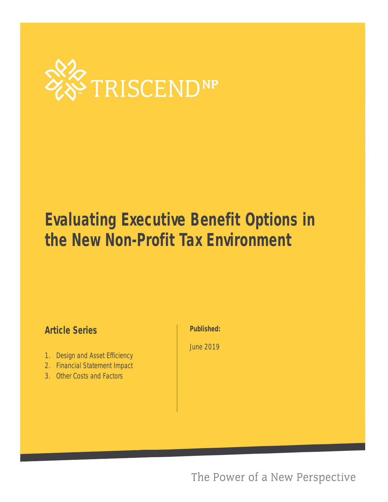

# **Evaluating Executive Benefit Options in the New Non-Profit Tax Environment**

### **Article Series**

- 1. [Design and Asset Efficiency](#page-1-0)
- 2. [Financial Statement Impact](#page-3-0)
- 3. [Other Costs and Factors](#page-5-0)

#### **Published:**

June 2019

The Power of a New Perspective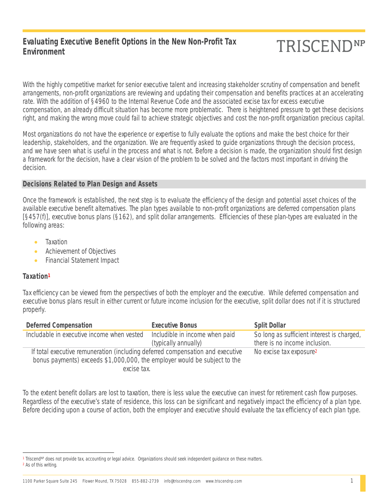#### <span id="page-1-0"></span>**Evaluating Executive Benefit Options in the New Non-Profit Tax Environment**

### **TRISCENDNP**

With the highly competitive market for senior executive talent and increasing stakeholder scrutiny of compensation and benefit arrangements, non-profit organizations are reviewing and updating their compensation and benefits practices at an accelerating rate. With the addition of §4960 to the Internal Revenue Code and the associated excise tax for excess executive compensation, an already difficult situation has become more problematic. There is heightened pressure to get these decisions right, and making the wrong move could fail to achieve strategic objectives and cost the non-profit organization precious capital.

Most organizations do not have the experience or expertise to fully evaluate the options and make the best choice for their leadership, stakeholders, and the organization. We are frequently asked to guide organizations through the decision process, and we have seen what is useful in the process and what is not. Before a decision is made, the organization should first design a framework for the decision, have a clear vision of the problem to be solved and the factors most important in driving the decision.

#### **Decisions Related to Plan Design and Assets**

Once the framework is established, the next step is to evaluate the efficiency of the design and potential asset choices of the available executive benefit alternatives. The plan types available to non-profit organizations are deferred compensation plans [§457(f)], executive bonus plans (§162), and split dollar arrangements. Efficiencies of these plan-types are evaluated in the following areas:

- Taxation
- Achievement of Objectives
- Financial Statement Impact

#### **Taxation1**

 $\overline{a}$ 

Tax efficiency can be viewed from the perspectives of both the employer and the executive. While deferred compensation and executive bonus plans result in either current or future income inclusion for the executive, split dollar does not if it is structured properly.

| <b>Deferred Compensation</b>                                                   | <b>Executive Bonus</b>         | <b>Split Dollar</b>                        |
|--------------------------------------------------------------------------------|--------------------------------|--------------------------------------------|
| Includable in executive income when vested                                     | Includible in income when paid | So long as sufficient interest is charged, |
|                                                                                | (typically annually)           | there is no income inclusion.              |
| If total executive remuneration (including deferred compensation and executive |                                | No excise tax exposure <sup>2</sup>        |
| bonus payments) exceeds \$1,000,000, the employer would be subject to the      |                                |                                            |
| excise tax.                                                                    |                                |                                            |

To the extent benefit dollars are lost to taxation, there is less value the executive can invest for retirement cash flow purposes. Regardless of the executive's state of residence, this loss can be significant and negatively impact the efficiency of a plan type. Before deciding upon a course of action, both the employer and executive should evaluate the tax efficiency of each plan type.

<sup>1</sup> Triscend<sup>NP</sup> does not provide tax, accounting or legal advice. Organizations should seek independent guidance on these matters. 2 As of this writing.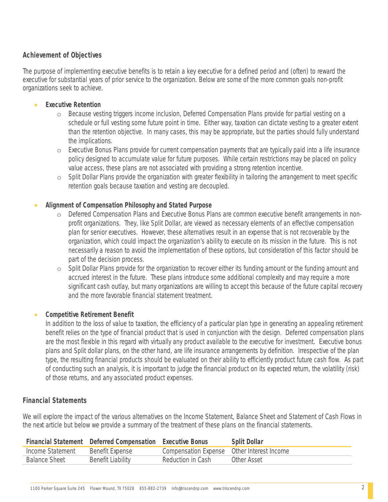#### **Achievement of Objectives**

The purpose of implementing executive benefits is to retain a key executive for a defined period and (often) to reward the executive for substantial years of prior service to the organization. Below are some of the more common goals non-profit organizations seek to achieve.

#### **Executive Retention**

- o Because vesting triggers income inclusion, Deferred Compensation Plans provide for partial vesting on a schedule or full vesting some future point in time. Either way, taxation can dictate vesting to a greater extent than the retention objective. In many cases, this may be appropriate, but the parties should fully understand the implications.
- $\circ$  Executive Bonus Plans provide for current compensation payments that are typically paid into a life insurance policy designed to accumulate value for future purposes. While certain restrictions may be placed on policy value access, these plans are not associated with providing a strong retention incentive.
- o Split Dollar Plans provide the organization with greater flexibility in tailoring the arrangement to meet specific retention goals because taxation and vesting are decoupled.

#### **Alignment of Compensation Philosophy and Stated Purpose**

- o Deferred Compensation Plans and Executive Bonus Plans are common executive benefit arrangements in nonprofit organizations. They, like Split Dollar, are viewed as necessary elements of an effective compensation plan for senior executives. However, these alternatives result in an expense that is not recoverable by the organization, which could impact the organization's ability to execute on its mission in the future. This is not necessarily a reason to avoid the implementation of these options, but consideration of this factor should be part of the decision process.
- $\circ$  Split Dollar Plans provide for the organization to recover either its funding amount or the funding amount and accrued interest in the future. These plans introduce some additional complexity and may require a more significant cash outlay, but many organizations are willing to accept this because of the future capital recovery and the more favorable financial statement treatment.

#### **Competitive Retirement Benefit**

In addition to the loss of value to taxation, the efficiency of a particular plan type in generating an appealing retirement benefit relies on the type of financial product that is used in conjunction with the design. Deferred compensation plans are the most flexible in this regard with virtually any product available to the executive for investment. Executive bonus plans and Split dollar plans, on the other hand, are life insurance arrangements by definition. Irrespective of the plan type, the resulting financial products should be evaluated on their ability to efficiently product future cash flow. As part of conducting such an analysis, it is important to judge the financial product on its expected return, the volatility (risk) of those returns, and any associated product expenses.

#### **Financial Statements**

We will explore the impact of the various alternatives on the Income Statement, Balance Sheet and Statement of Cash Flows in the next article but below we provide a summary of the treatment of these plans on the financial statements.

|                      | <b>Financial Statement</b> Deferred Compensation Executive Bonus |                                            | <b>Split Dollar</b> |
|----------------------|------------------------------------------------------------------|--------------------------------------------|---------------------|
| Income Statement     | Benefit Expense                                                  | Compensation Expense Other Interest Income |                     |
| <b>Balance Sheet</b> | Benefit Liability                                                | Reduction in Cash                          | Other Asset         |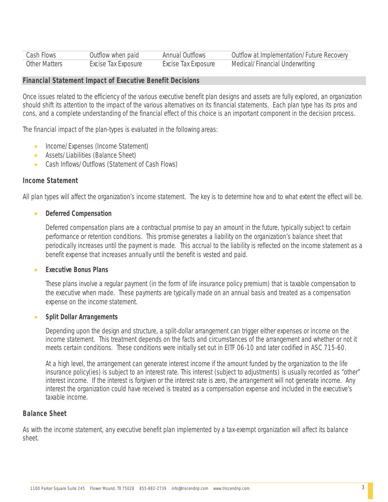<span id="page-3-0"></span>

| Cash Flows    | Outflow when paid   | <b>Annual Outflows</b> | Outflow at Implementation/Future Recovery |
|---------------|---------------------|------------------------|-------------------------------------------|
| Other Matters | Excise Tax Exposure | Excise Tax Exposure    | Medical/Financial Underwriting            |

#### **Financial Statement Impact of Executive Benefit Decisions**

Once issues related to the efficiency of the various executive benefit plan designs and assets are fully explored, an organization should shift its attention to the impact of the various alternatives on its financial statements. Each plan type has its pros and cons, and a complete understanding of the financial effect of this choice is an important component in the decision process.

The financial impact of the plan-types is evaluated in the following areas:

- Income/Expenses (Income Statement)
- Assets/Liabilities (Balance Sheet)
- Cash Inflows/Outflows (Statement of Cash Flows)

#### **Income Statement**

All plan types will affect the organization's income statement. The key is to determine how and to what extent the effect will be.

#### **Deferred Compensation**

Deferred compensation plans are a contractual promise to pay an amount in the future, typically subject to certain performance or retention conditions. This promise generates a liability on the organization's balance sheet that periodically increases until the payment is made. This accrual to the liability is reflected on the income statement as a benefit expense that increases annually until the benefit is vested and paid.

#### **Executive Bonus Plans**

These plans involve a regular payment (in the form of life insurance policy premium) that is taxable compensation to the executive when made. These payments are typically made on an annual basis and treated as a compensation expense on the income statement.

#### **Split Dollar Arrangements**

Depending upon the design and structure, a split-dollar arrangement can trigger either expenses or income on the income statement. This treatment depends on the facts and circumstances of the arrangement and whether or not it meets certain conditions. These conditions were initially set out in EITF 06-10 and later codified in ASC 715-60.

At a high level, the arrangement can generate interest income if the amount funded by the organization to the life insurance policy(ies) is subject to an interest rate. This interest (subject to adjustments) is usually recorded as "other" interest income. If the interest is forgiven or the interest rate is zero, the arrangement will not generate income. Any interest the organization could have received is treated as a compensation expense and included in the executive's taxable income.

#### **Balance Sheet**

As with the income statement, any executive benefit plan implemented by a tax-exempt organization will affect its balance sheet.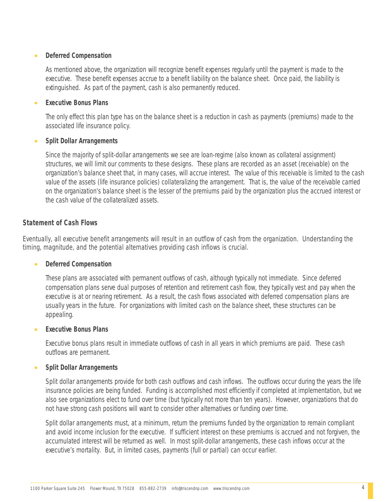#### **Deferred Compensation**

As mentioned above, the organization will recognize benefit expenses regularly until the payment is made to the executive. These benefit expenses accrue to a benefit liability on the balance sheet. Once paid, the liability is extinguished. As part of the payment, cash is also permanently reduced.

#### **Executive Bonus Plans**

The only effect this plan type has on the balance sheet is a reduction in cash as payments (premiums) made to the associated life insurance policy.

#### **Split Dollar Arrangements**

Since the majority of split-dollar arrangements we see are loan-regime (also known as collateral assignment) structures, we will limit our comments to these designs. These plans are recorded as an asset (receivable) on the organization's balance sheet that, in many cases, will accrue interest. The value of this receivable is limited to the cash value of the assets (life insurance policies) collateralizing the arrangement. That is, the value of the receivable carried on the organization's balance sheet is the lesser of the premiums paid by the organization plus the accrued interest or the cash value of the collateralized assets.

#### **Statement of Cash Flows**

Eventually, all executive benefit arrangements will result in an outflow of cash from the organization. Understanding the timing, magnitude, and the potential alternatives providing cash inflows is crucial.

#### **Deferred Compensation**

These plans are associated with permanent outflows of cash, although typically not immediate. Since deferred compensation plans serve dual purposes of retention and retirement cash flow, they typically vest and pay when the executive is at or nearing retirement. As a result, the cash flows associated with deferred compensation plans are usually years in the future. For organizations with limited cash on the balance sheet, these structures can be appealing.

#### **Executive Bonus Plans**

Executive bonus plans result in immediate outflows of cash in all years in which premiums are paid. These cash outflows are permanent.

#### **Split Dollar Arrangements**

Split dollar arrangements provide for both cash outflows and cash inflows. The outflows occur during the years the life insurance policies are being funded. Funding is accomplished most efficiently if completed at implementation, but we also see organizations elect to fund over time (but typically not more than ten years). However, organizations that do not have strong cash positions will want to consider other alternatives or funding over time.

Split dollar arrangements must, at a minimum, return the premiums funded by the organization to remain compliant and avoid income inclusion for the executive. If sufficient interest on these premiums is accrued and not forgiven, the accumulated interest will be returned as well. In most split-dollar arrangements, these cash inflows occur at the executive's mortality. But, in limited cases, payments (full or partial) can occur earlier.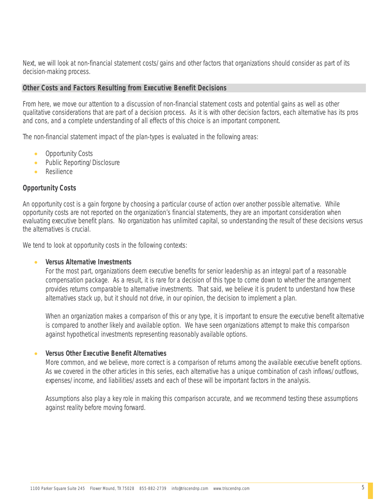<span id="page-5-0"></span>Next, we will look at non-financial statement costs/gains and other factors that organizations should consider as part of its decision-making process.

#### **Other Costs and Factors Resulting from Executive Benefit Decisions**

From here, we move our attention to a discussion of non-financial statement costs and potential gains as well as other qualitative considerations that are part of a decision process. As it is with other decision factors, each alternative has its pros and cons, and a complete understanding of all effects of this choice is an important component.

The non-financial statement impact of the plan-types is evaluated in the following areas:

- Opportunity Costs
- Public Reporting/Disclosure
- Resilience

#### **Opportunity Costs**

An opportunity cost is a gain forgone by choosing a particular course of action over another possible alternative. While opportunity costs are not reported on the organization's financial statements, they are an important consideration when evaluating executive benefit plans. No organization has unlimited capital, so understanding the result of these decisions versus the alternatives is crucial.

We tend to look at opportunity costs in the following contexts:

#### **Versus Alternative Investments**

For the most part, organizations deem executive benefits for senior leadership as an integral part of a reasonable compensation package. As a result, it is rare for a decision of this type to come down to whether the arrangement provides returns comparable to alternative investments. That said, we believe it is prudent to understand how these alternatives stack up, but it should not drive, in our opinion, the decision to implement a plan.

When an organization makes a comparison of this or any type, it is important to ensure the executive benefit alternative is compared to another likely and available option. We have seen organizations attempt to make this comparison against hypothetical investments representing reasonably available options.

#### **Versus Other Executive Benefit Alternatives**

More common, and we believe, more correct is a comparison of returns among the available executive benefit options. As we covered in the other articles in this series, each alternative has a unique combination of cash inflows/outflows, expenses/income, and liabilities/assets and each of these will be important factors in the analysis.

Assumptions also play a key role in making this comparison accurate, and we recommend testing these assumptions against reality before moving forward.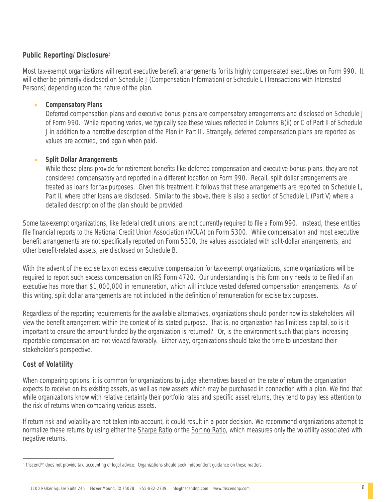#### **Public Reporting/Disclosure**<sup>3</sup>

Most tax-exempt organizations will report executive benefit arrangements for its highly compensated executives on Form 990. It will either be primarily disclosed on Schedule J (Compensation Information) or Schedule L (Transactions with Interested Persons) depending upon the nature of the plan.

#### **Compensatory Plans**

Deferred compensation plans and executive bonus plans are compensatory arrangements and disclosed on Schedule J of Form 990. While reporting varies, we typically see these values reflected in Columns B(ii) or C of Part II of Schedule J in addition to a narrative description of the Plan in Part III. Strangely, deferred compensation plans are reported as values are accrued, and again when paid.

#### **Split Dollar Arrangements**

While these plans provide for retirement benefits like deferred compensation and executive bonus plans, they are not considered compensatory and reported in a different location on Form 990. Recall, split dollar arrangements are treated as loans for tax purposes. Given this treatment, it follows that these arrangements are reported on Schedule L, Part II, where other loans are disclosed. Similar to the above, there is also a section of Schedule L (Part V) where a detailed description of the plan should be provided.

Some tax-exempt organizations, like federal credit unions, are not currently required to file a Form 990. Instead, these entities file financial reports to the National Credit Union Association (NCUA) on Form 5300. While compensation and most executive benefit arrangements are not specifically reported on Form 5300, the values associated with split-dollar arrangements, and other benefit-related assets, are disclosed on Schedule B.

With the advent of the excise tax on excess executive compensation for tax-exempt organizations, some organizations will be required to report such excess compensation on IRS Form 4720. Our understanding is this form only needs to be filed if an executive has more than \$1,000,000 in remuneration, which will include vested deferred compensation arrangements. As of this writing, split dollar arrangements are not included in the definition of remuneration for excise tax purposes.

Regardless of the reporting requirements for the available alternatives, organizations should ponder how its stakeholders will view the benefit arrangement within the context of its stated purpose. That is, no organization has limitless capital, so is it important to ensure the amount funded by the organization is returned? Or, is the environment such that plans increasing reportable compensation are not viewed favorably. Either way, organizations should take the time to understand their stakeholder's perspective.

#### **Cost of Volatility**

When comparing options, it is common for organizations to judge alternatives based on the rate of return the organization expects to receive on its existing assets, as well as new assets which may be purchased in connection with a plan. We find that while organizations know with relative certainty their portfolio rates and specific asset returns, they tend to pay less attention to the risk of returns when comparing various assets.

If return risk and volatility are not taken into account, it could result in a poor decision. We recommend organizations attempt to normalize these returns by using either the Sharpe Ratio or the Sortino Ratio, which measures only the volatility associated with negative returns.

 $\overline{a}$ <sup>3</sup> Triscend<sup>NP</sup> does not provide tax, accounting or legal advice. Organizations should seek independent guidance on these matters.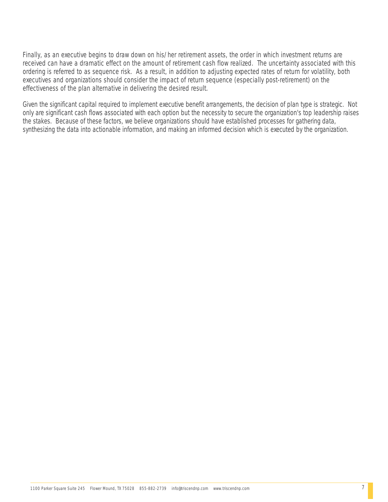Finally, as an executive begins to draw down on his/her retirement assets, the order in which investment returns are received can have a dramatic effect on the amount of retirement cash flow realized. The uncertainty associated with this ordering is referred to as sequence risk. As a result, in addition to adjusting expected rates of return for volatility, both executives and organizations should consider the impact of return sequence (especially post-retirement) on the effectiveness of the plan alternative in delivering the desired result.

Given the significant capital required to implement executive benefit arrangements, the decision of plan type is strategic. Not only are significant cash flows associated with each option but the necessity to secure the organization's top leadership raises the stakes. Because of these factors, we believe organizations should have established processes for gathering data, synthesizing the data into actionable information, and making an informed decision which is executed by the organization.